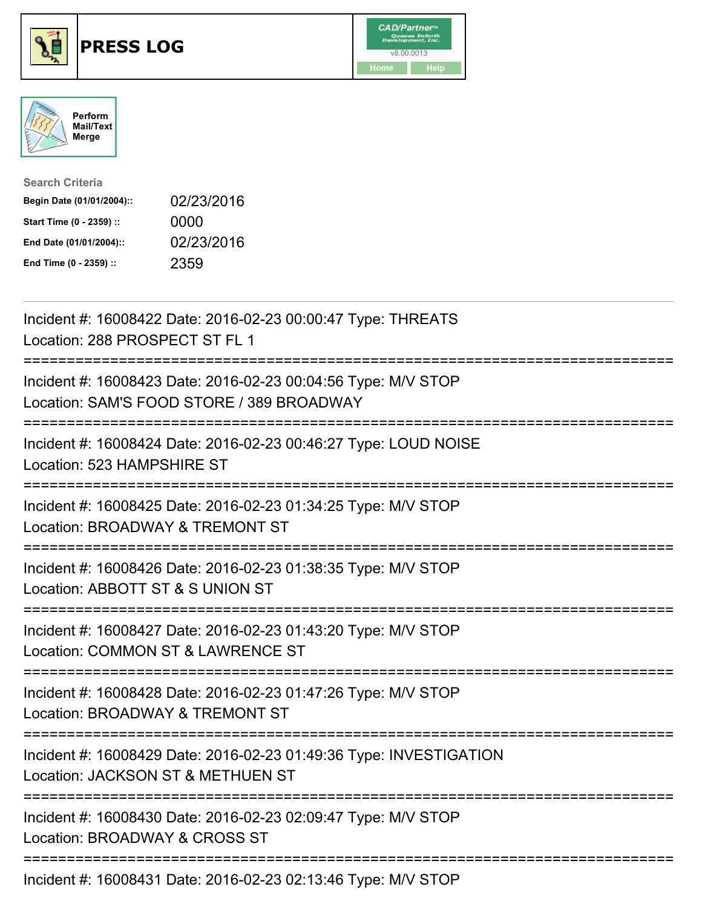





| <b>Search Criteria</b>    |            |
|---------------------------|------------|
| Begin Date (01/01/2004):: | 02/23/2016 |
| Start Time (0 - 2359) ::  | 0000       |
| End Date (01/01/2004)::   | 02/23/2016 |
| End Time (0 - 2359) ::    | 2359       |

| Incident #: 16008422 Date: 2016-02-23 00:00:47 Type: THREATS<br>Location: 288 PROSPECT ST FL 1                                              |
|---------------------------------------------------------------------------------------------------------------------------------------------|
| Incident #: 16008423 Date: 2016-02-23 00:04:56 Type: M/V STOP<br>Location: SAM'S FOOD STORE / 389 BROADWAY<br>===========                   |
| Incident #: 16008424 Date: 2016-02-23 00:46:27 Type: LOUD NOISE<br>Location: 523 HAMPSHIRE ST<br>----------                                 |
| Incident #: 16008425 Date: 2016-02-23 01:34:25 Type: M/V STOP<br>Location: BROADWAY & TREMONT ST<br>-----------<br>======================== |
| Incident #: 16008426 Date: 2016-02-23 01:38:35 Type: M/V STOP<br>Location: ABBOTT ST & S UNION ST<br>.------------------------              |
| Incident #: 16008427 Date: 2016-02-23 01:43:20 Type: M/V STOP<br>Location: COMMON ST & LAWRENCE ST                                          |
| Incident #: 16008428 Date: 2016-02-23 01:47:26 Type: M/V STOP<br>Location: BROADWAY & TREMONT ST<br>:=========================              |
| Incident #: 16008429 Date: 2016-02-23 01:49:36 Type: INVESTIGATION<br>Location: JACKSON ST & METHUEN ST<br>============================     |
| Incident #: 16008430 Date: 2016-02-23 02:09:47 Type: M/V STOP<br>Location: BROADWAY & CROSS ST                                              |
| Incident #: 16008431 Date: 2016-02-23 02:13:46 Type: M/V STOP                                                                               |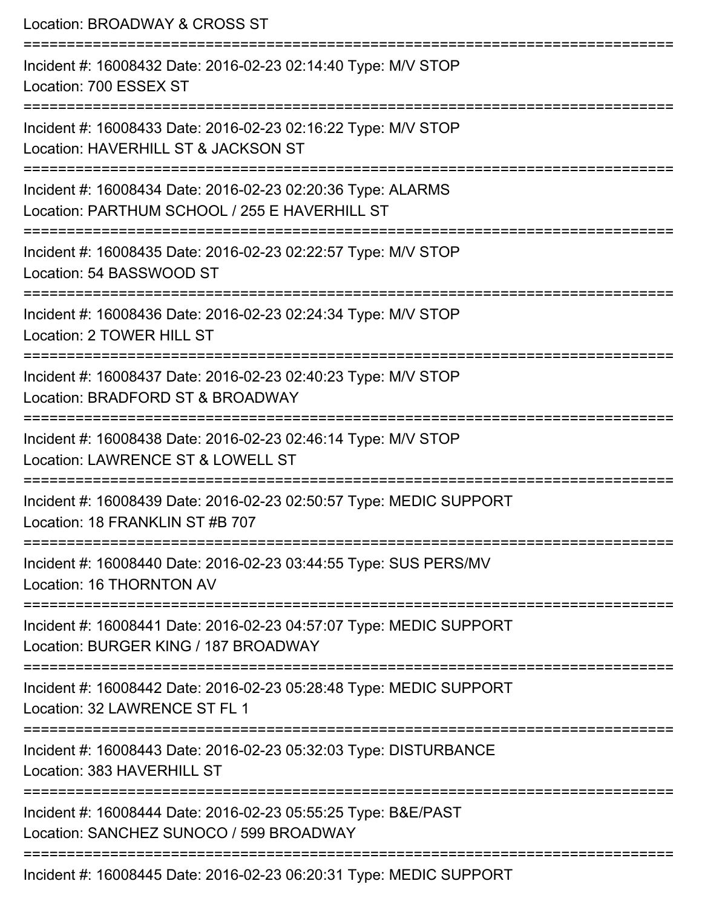| Location: BROADWAY & CROSS ST                                                                                               |
|-----------------------------------------------------------------------------------------------------------------------------|
| Incident #: 16008432 Date: 2016-02-23 02:14:40 Type: M/V STOP<br>Location: 700 ESSEX ST                                     |
| Incident #: 16008433 Date: 2016-02-23 02:16:22 Type: M/V STOP<br>Location: HAVERHILL ST & JACKSON ST                        |
| Incident #: 16008434 Date: 2016-02-23 02:20:36 Type: ALARMS<br>Location: PARTHUM SCHOOL / 255 E HAVERHILL ST                |
| Incident #: 16008435 Date: 2016-02-23 02:22:57 Type: M/V STOP<br>Location: 54 BASSWOOD ST                                   |
| Incident #: 16008436 Date: 2016-02-23 02:24:34 Type: M/V STOP<br>Location: 2 TOWER HILL ST                                  |
| Incident #: 16008437 Date: 2016-02-23 02:40:23 Type: M/V STOP<br>Location: BRADFORD ST & BROADWAY                           |
| Incident #: 16008438 Date: 2016-02-23 02:46:14 Type: M/V STOP<br>Location: LAWRENCE ST & LOWELL ST                          |
| Incident #: 16008439 Date: 2016-02-23 02:50:57 Type: MEDIC SUPPORT<br>Location: 18 FRANKLIN ST #B 707                       |
| ---------------------------<br>Incident #: 16008440 Date: 2016-02-23 03:44:55 Type: SUS PERS/MV<br>Location: 16 THORNTON AV |
| Incident #: 16008441 Date: 2016-02-23 04:57:07 Type: MEDIC SUPPORT<br>Location: BURGER KING / 187 BROADWAY                  |
| Incident #: 16008442 Date: 2016-02-23 05:28:48 Type: MEDIC SUPPORT<br>Location: 32 LAWRENCE ST FL 1                         |
| Incident #: 16008443 Date: 2016-02-23 05:32:03 Type: DISTURBANCE<br>Location: 383 HAVERHILL ST                              |
| Incident #: 16008444 Date: 2016-02-23 05:55:25 Type: B&E/PAST<br>Location: SANCHEZ SUNOCO / 599 BROADWAY                    |
| Incident #: 16008445 Date: 2016-02-23 06:20:31 Type: MEDIC SUPPORT                                                          |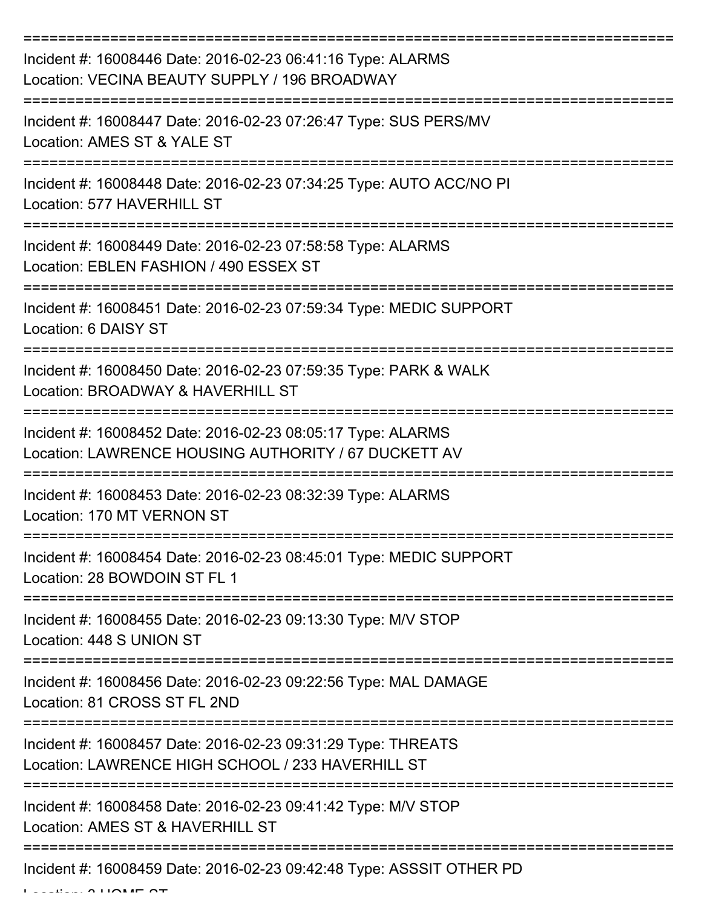| Incident #: 16008446 Date: 2016-02-23 06:41:16 Type: ALARMS<br>Location: VECINA BEAUTY SUPPLY / 196 BROADWAY        |
|---------------------------------------------------------------------------------------------------------------------|
| Incident #: 16008447 Date: 2016-02-23 07:26:47 Type: SUS PERS/MV<br>Location: AMES ST & YALE ST                     |
| Incident #: 16008448 Date: 2016-02-23 07:34:25 Type: AUTO ACC/NO PI<br>Location: 577 HAVERHILL ST                   |
| Incident #: 16008449 Date: 2016-02-23 07:58:58 Type: ALARMS<br>Location: EBLEN FASHION / 490 ESSEX ST               |
| Incident #: 16008451 Date: 2016-02-23 07:59:34 Type: MEDIC SUPPORT<br>Location: 6 DAISY ST                          |
| Incident #: 16008450 Date: 2016-02-23 07:59:35 Type: PARK & WALK<br>Location: BROADWAY & HAVERHILL ST               |
| Incident #: 16008452 Date: 2016-02-23 08:05:17 Type: ALARMS<br>Location: LAWRENCE HOUSING AUTHORITY / 67 DUCKETT AV |
| Incident #: 16008453 Date: 2016-02-23 08:32:39 Type: ALARMS<br>Location: 170 MT VERNON ST                           |
| Incident #: 16008454 Date: 2016-02-23 08:45:01 Type: MEDIC SUPPORT<br>Location: 28 BOWDOIN ST FL 1                  |
| Incident #: 16008455 Date: 2016-02-23 09:13:30 Type: M/V STOP<br>Location: 448 S UNION ST                           |
| Incident #: 16008456 Date: 2016-02-23 09:22:56 Type: MAL DAMAGE<br>Location: 81 CROSS ST FL 2ND                     |
| Incident #: 16008457 Date: 2016-02-23 09:31:29 Type: THREATS<br>Location: LAWRENCE HIGH SCHOOL / 233 HAVERHILL ST   |
| Incident #: 16008458 Date: 2016-02-23 09:41:42 Type: M/V STOP<br>Location: AMES ST & HAVERHILL ST                   |
| Incident #: 16008459 Date: 2016-02-23 09:42:48 Type: ASSSIT OTHER PD                                                |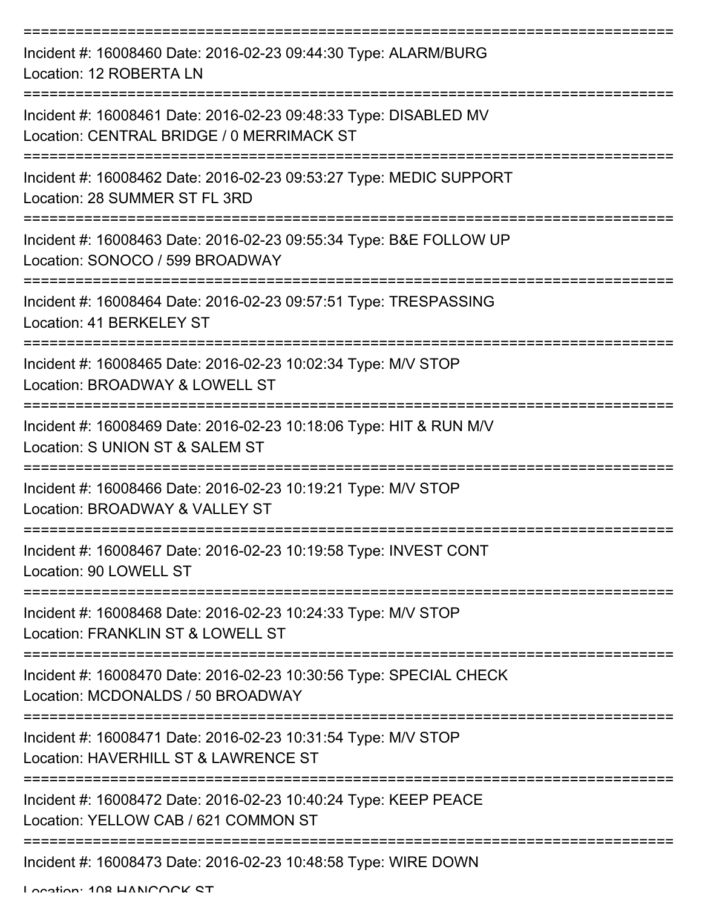| Incident #: 16008460 Date: 2016-02-23 09:44:30 Type: ALARM/BURG<br>Location: 12 ROBERTA LN                    |
|---------------------------------------------------------------------------------------------------------------|
| Incident #: 16008461 Date: 2016-02-23 09:48:33 Type: DISABLED MV<br>Location: CENTRAL BRIDGE / 0 MERRIMACK ST |
| Incident #: 16008462 Date: 2016-02-23 09:53:27 Type: MEDIC SUPPORT<br>Location: 28 SUMMER ST FL 3RD           |
| Incident #: 16008463 Date: 2016-02-23 09:55:34 Type: B&E FOLLOW UP<br>Location: SONOCO / 599 BROADWAY         |
| Incident #: 16008464 Date: 2016-02-23 09:57:51 Type: TRESPASSING<br>Location: 41 BERKELEY ST                  |
| Incident #: 16008465 Date: 2016-02-23 10:02:34 Type: M/V STOP<br>Location: BROADWAY & LOWELL ST               |
| Incident #: 16008469 Date: 2016-02-23 10:18:06 Type: HIT & RUN M/V<br>Location: S UNION ST & SALEM ST         |
| Incident #: 16008466 Date: 2016-02-23 10:19:21 Type: M/V STOP<br>Location: BROADWAY & VALLEY ST               |
| Incident #: 16008467 Date: 2016-02-23 10:19:58 Type: INVEST CONT<br>Location: 90 LOWELL ST                    |
| Incident #: 16008468 Date: 2016-02-23 10:24:33 Type: M/V STOP<br>Location: FRANKLIN ST & LOWELL ST            |
| Incident #: 16008470 Date: 2016-02-23 10:30:56 Type: SPECIAL CHECK<br>Location: MCDONALDS / 50 BROADWAY       |
| Incident #: 16008471 Date: 2016-02-23 10:31:54 Type: M/V STOP<br>Location: HAVERHILL ST & LAWRENCE ST         |
| Incident #: 16008472 Date: 2016-02-23 10:40:24 Type: KEEP PEACE<br>Location: YELLOW CAB / 621 COMMON ST       |
| Incident #: 16008473 Date: 2016-02-23 10:48:58 Type: WIRE DOWN                                                |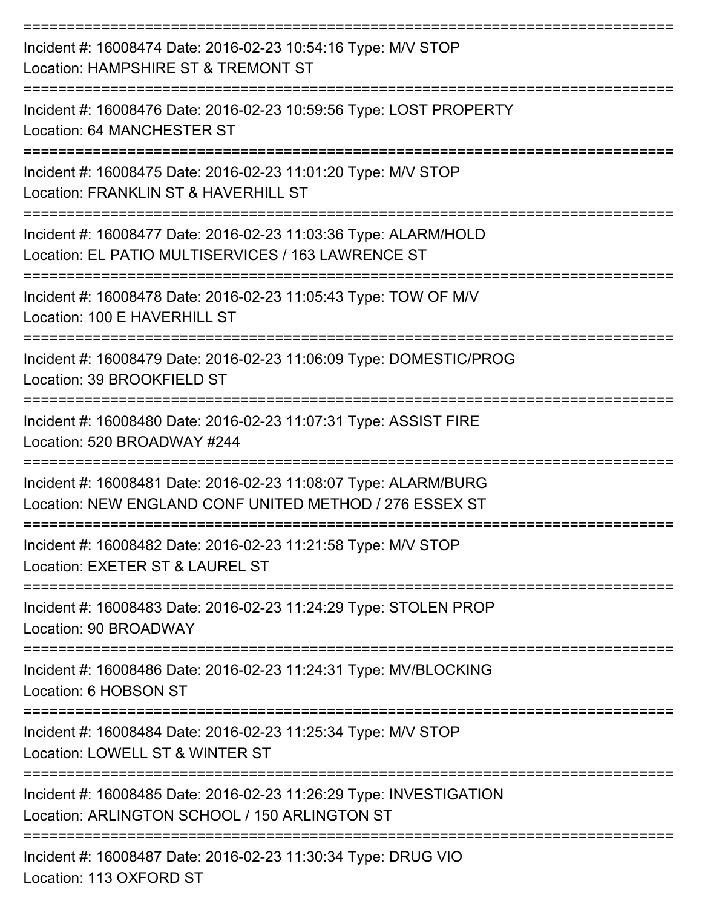| Incident #: 16008474 Date: 2016-02-23 10:54:16 Type: M/V STOP<br>Location: HAMPSHIRE ST & TREMONT ST                        |
|-----------------------------------------------------------------------------------------------------------------------------|
| Incident #: 16008476 Date: 2016-02-23 10:59:56 Type: LOST PROPERTY<br>Location: 64 MANCHESTER ST                            |
| Incident #: 16008475 Date: 2016-02-23 11:01:20 Type: M/V STOP<br>Location: FRANKLIN ST & HAVERHILL ST                       |
| Incident #: 16008477 Date: 2016-02-23 11:03:36 Type: ALARM/HOLD<br>Location: EL PATIO MULTISERVICES / 163 LAWRENCE ST       |
| Incident #: 16008478 Date: 2016-02-23 11:05:43 Type: TOW OF M/V<br>Location: 100 E HAVERHILL ST                             |
| Incident #: 16008479 Date: 2016-02-23 11:06:09 Type: DOMESTIC/PROG<br>Location: 39 BROOKFIELD ST                            |
| Incident #: 16008480 Date: 2016-02-23 11:07:31 Type: ASSIST FIRE<br>Location: 520 BROADWAY #244                             |
| Incident #: 16008481 Date: 2016-02-23 11:08:07 Type: ALARM/BURG<br>Location: NEW ENGLAND CONF UNITED METHOD / 276 ESSEX ST  |
| Incident #: 16008482 Date: 2016-02-23 11:21:58 Type: M/V STOP<br>Location: EXETER ST & LAUREL ST                            |
| Incident #: 16008483 Date: 2016-02-23 11:24:29 Type: STOLEN PROP<br>Location: 90 BROADWAY                                   |
| Incident #: 16008486 Date: 2016-02-23 11:24:31 Type: MV/BLOCKING<br>Location: 6 HOBSON ST                                   |
| =======================<br>Incident #: 16008484 Date: 2016-02-23 11:25:34 Type: M/V STOP<br>Location: LOWELL ST & WINTER ST |
| Incident #: 16008485 Date: 2016-02-23 11:26:29 Type: INVESTIGATION<br>Location: ARLINGTON SCHOOL / 150 ARLINGTON ST         |
| Incident #: 16008487 Date: 2016-02-23 11:30:34 Type: DRUG VIO<br>Location: 113 OXFORD ST                                    |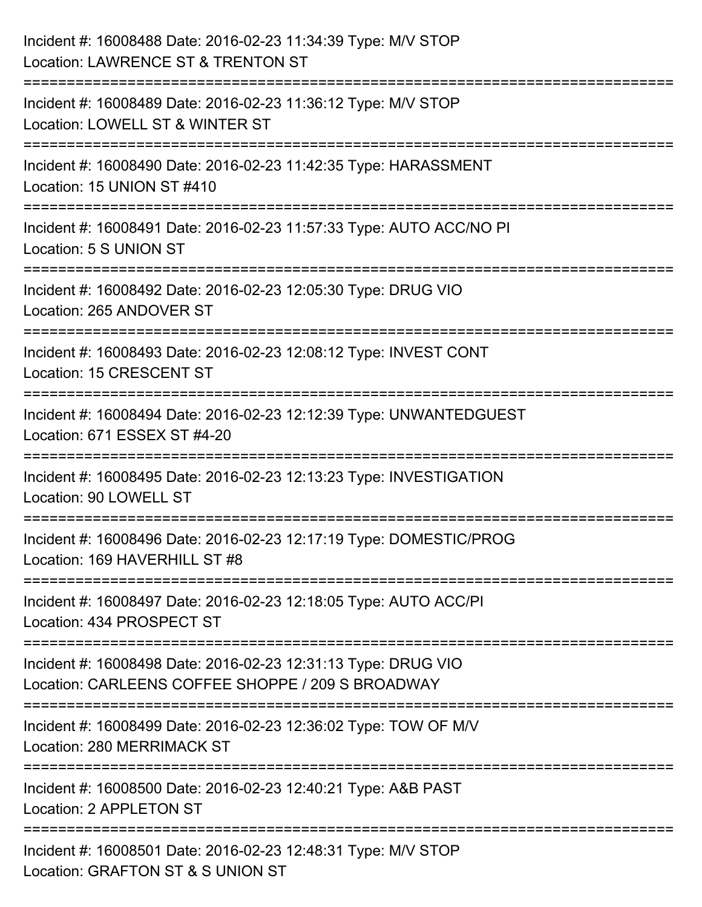| Incident #: 16008488 Date: 2016-02-23 11:34:39 Type: M/V STOP<br>Location: LAWRENCE ST & TRENTON ST                           |
|-------------------------------------------------------------------------------------------------------------------------------|
| :=====================<br>Incident #: 16008489 Date: 2016-02-23 11:36:12 Type: M/V STOP<br>Location: LOWELL ST & WINTER ST    |
| Incident #: 16008490 Date: 2016-02-23 11:42:35 Type: HARASSMENT<br>Location: 15 UNION ST #410                                 |
| Incident #: 16008491 Date: 2016-02-23 11:57:33 Type: AUTO ACC/NO PI<br>Location: 5 S UNION ST                                 |
| Incident #: 16008492 Date: 2016-02-23 12:05:30 Type: DRUG VIO<br>Location: 265 ANDOVER ST<br>:=============================== |
| Incident #: 16008493 Date: 2016-02-23 12:08:12 Type: INVEST CONT<br><b>Location: 15 CRESCENT ST</b>                           |
| Incident #: 16008494 Date: 2016-02-23 12:12:39 Type: UNWANTEDGUEST<br>Location: 671 ESSEX ST #4-20                            |
| Incident #: 16008495 Date: 2016-02-23 12:13:23 Type: INVESTIGATION<br>Location: 90 LOWELL ST                                  |
| Incident #: 16008496 Date: 2016-02-23 12:17:19 Type: DOMESTIC/PROG<br>Location: 169 HAVERHILL ST #8                           |
| Incident #: 16008497 Date: 2016-02-23 12:18:05 Type: AUTO ACC/PI<br>Location: 434 PROSPECT ST                                 |
| Incident #: 16008498 Date: 2016-02-23 12:31:13 Type: DRUG VIO<br>Location: CARLEENS COFFEE SHOPPE / 209 S BROADWAY            |
| Incident #: 16008499 Date: 2016-02-23 12:36:02 Type: TOW OF M/V<br>Location: 280 MERRIMACK ST                                 |
| Incident #: 16008500 Date: 2016-02-23 12:40:21 Type: A&B PAST<br>Location: 2 APPLETON ST                                      |
| Incident #: 16008501 Date: 2016-02-23 12:48:31 Type: M/V STOP<br>Location: GRAFTON ST & S UNION ST                            |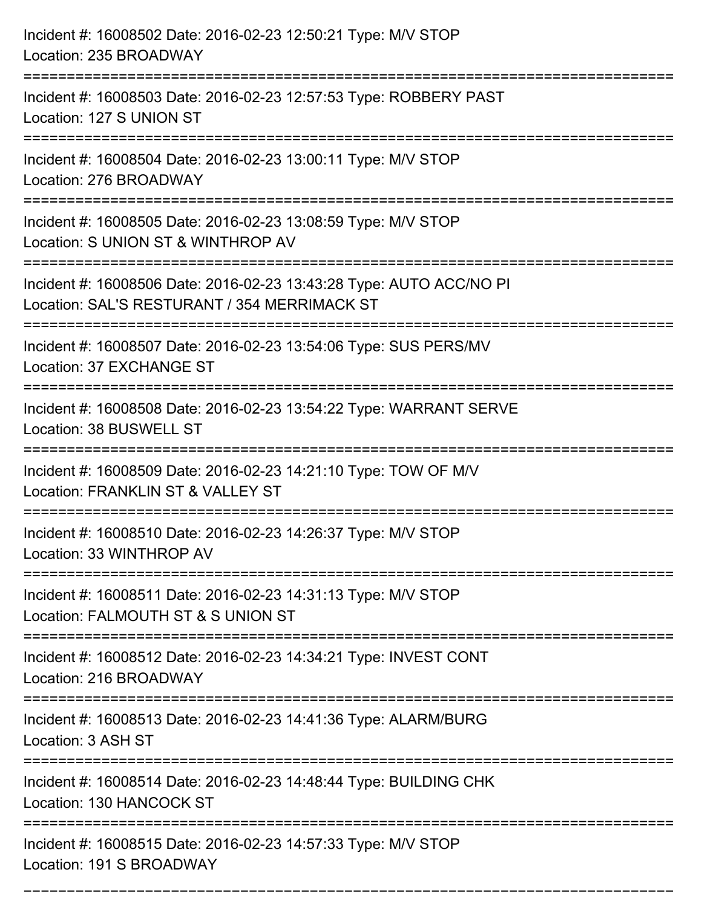| Incident #: 16008502 Date: 2016-02-23 12:50:21 Type: M/V STOP<br>Location: 235 BROADWAY                                                             |
|-----------------------------------------------------------------------------------------------------------------------------------------------------|
| Incident #: 16008503 Date: 2016-02-23 12:57:53 Type: ROBBERY PAST<br>Location: 127 S UNION ST                                                       |
| Incident #: 16008504 Date: 2016-02-23 13:00:11 Type: M/V STOP<br>Location: 276 BROADWAY                                                             |
| Incident #: 16008505 Date: 2016-02-23 13:08:59 Type: M/V STOP<br>Location: S UNION ST & WINTHROP AV                                                 |
| Incident #: 16008506 Date: 2016-02-23 13:43:28 Type: AUTO ACC/NO PI<br>Location: SAL'S RESTURANT / 354 MERRIMACK ST<br>============================ |
| Incident #: 16008507 Date: 2016-02-23 13:54:06 Type: SUS PERS/MV<br>Location: 37 EXCHANGE ST                                                        |
| Incident #: 16008508 Date: 2016-02-23 13:54:22 Type: WARRANT SERVE<br>Location: 38 BUSWELL ST<br>=============================                      |
| Incident #: 16008509 Date: 2016-02-23 14:21:10 Type: TOW OF M/V<br>Location: FRANKLIN ST & VALLEY ST                                                |
| Incident #: 16008510 Date: 2016-02-23 14:26:37 Type: M/V STOP<br>Location: 33 WINTHROP AV                                                           |
| Incident #: 16008511 Date: 2016-02-23 14:31:13 Type: M/V STOP<br>Location: FALMOUTH ST & S UNION ST                                                 |
| Incident #: 16008512 Date: 2016-02-23 14:34:21 Type: INVEST CONT<br>Location: 216 BROADWAY                                                          |
| Incident #: 16008513 Date: 2016-02-23 14:41:36 Type: ALARM/BURG<br>Location: 3 ASH ST                                                               |
| Incident #: 16008514 Date: 2016-02-23 14:48:44 Type: BUILDING CHK<br>Location: 130 HANCOCK ST                                                       |
| Incident #: 16008515 Date: 2016-02-23 14:57:33 Type: M/V STOP<br>Location: 191 S BROADWAY                                                           |

===========================================================================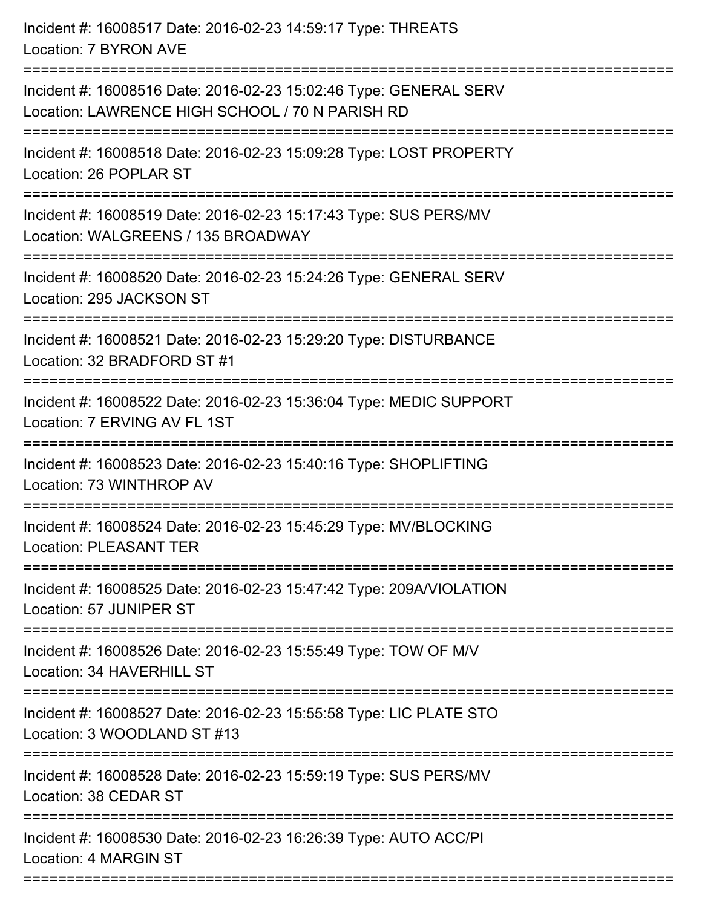| Incident #: 16008517 Date: 2016-02-23 14:59:17 Type: THREATS<br>Location: 7 BYRON AVE                                                                 |
|-------------------------------------------------------------------------------------------------------------------------------------------------------|
| Incident #: 16008516 Date: 2016-02-23 15:02:46 Type: GENERAL SERV<br>Location: LAWRENCE HIGH SCHOOL / 70 N PARISH RD<br>============================= |
| Incident #: 16008518 Date: 2016-02-23 15:09:28 Type: LOST PROPERTY<br>Location: 26 POPLAR ST                                                          |
| Incident #: 16008519 Date: 2016-02-23 15:17:43 Type: SUS PERS/MV<br>Location: WALGREENS / 135 BROADWAY<br>======================                      |
| Incident #: 16008520 Date: 2016-02-23 15:24:26 Type: GENERAL SERV<br>Location: 295 JACKSON ST                                                         |
| Incident #: 16008521 Date: 2016-02-23 15:29:20 Type: DISTURBANCE<br>Location: 32 BRADFORD ST #1                                                       |
| Incident #: 16008522 Date: 2016-02-23 15:36:04 Type: MEDIC SUPPORT<br>Location: 7 ERVING AV FL 1ST                                                    |
| Incident #: 16008523 Date: 2016-02-23 15:40:16 Type: SHOPLIFTING<br>Location: 73 WINTHROP AV                                                          |
| Incident #: 16008524 Date: 2016-02-23 15:45:29 Type: MV/BLOCKING<br><b>Location: PLEASANT TER</b>                                                     |
| Incident #: 16008525 Date: 2016-02-23 15:47:42 Type: 209A/VIOLATION<br>Location: 57 JUNIPER ST                                                        |
| Incident #: 16008526 Date: 2016-02-23 15:55:49 Type: TOW OF M/V<br>Location: 34 HAVERHILL ST                                                          |
| Incident #: 16008527 Date: 2016-02-23 15:55:58 Type: LIC PLATE STO<br>Location: 3 WOODLAND ST #13                                                     |
| Incident #: 16008528 Date: 2016-02-23 15:59:19 Type: SUS PERS/MV<br>Location: 38 CEDAR ST                                                             |
| Incident #: 16008530 Date: 2016-02-23 16:26:39 Type: AUTO ACC/PI<br>Location: 4 MARGIN ST                                                             |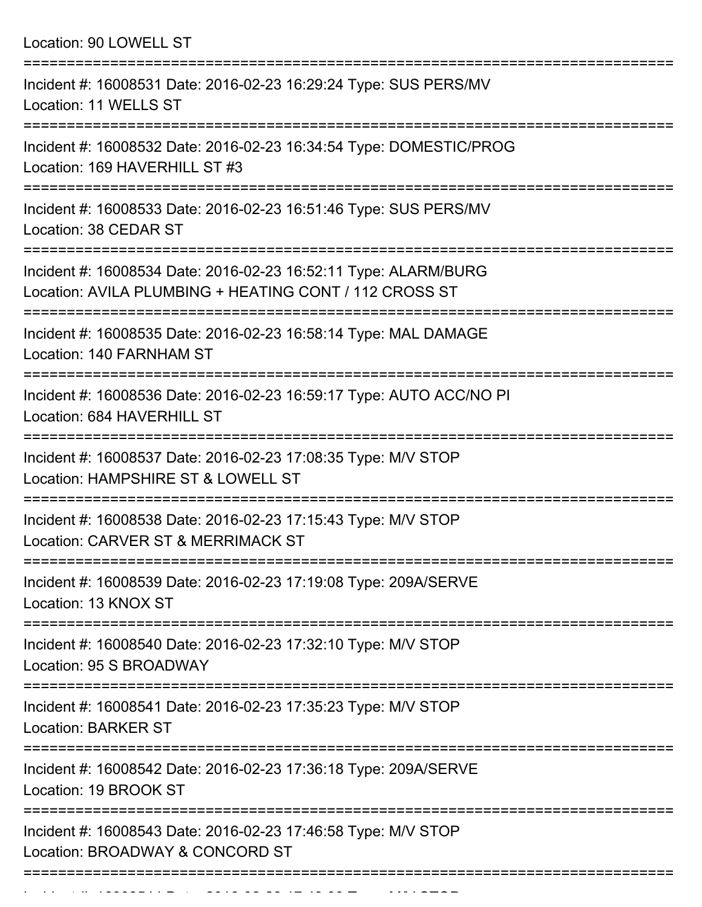Location: 90 LOWELL ST =========================================================================== Incident #: 16008531 Date: 2016-02-23 16:29:24 Type: SUS PERS/MV Location: 11 WELLS ST =========================================================================== Incident #: 16008532 Date: 2016-02-23 16:34:54 Type: DOMESTIC/PROG Location: 169 HAVERHILL ST #3 =========================================================================== Incident #: 16008533 Date: 2016-02-23 16:51:46 Type: SUS PERS/MV Location: 38 CEDAR ST =========================================================================== Incident #: 16008534 Date: 2016-02-23 16:52:11 Type: ALARM/BURG Location: AVILA PLUMBING + HEATING CONT / 112 CROSS ST =========================================================================== Incident #: 16008535 Date: 2016-02-23 16:58:14 Type: MAL DAMAGE Location: 140 FARNHAM ST =========================================================================== Incident #: 16008536 Date: 2016-02-23 16:59:17 Type: AUTO ACC/NO PI Location: 684 HAVERHILL ST =========================================================================== Incident #: 16008537 Date: 2016-02-23 17:08:35 Type: M/V STOP Location: HAMPSHIRE ST & LOWELL ST =========================================================================== Incident #: 16008538 Date: 2016-02-23 17:15:43 Type: M/V STOP Location: CARVER ST & MERRIMACK ST =========================================================================== Incident #: 16008539 Date: 2016-02-23 17:19:08 Type: 209A/SERVE Location: 13 KNOX ST =========================================================================== Incident #: 16008540 Date: 2016-02-23 17:32:10 Type: M/V STOP Location: 95 S BROADWAY =========================================================================== Incident #: 16008541 Date: 2016-02-23 17:35:23 Type: M/V STOP Location: BARKER ST =========================================================================== Incident #: 16008542 Date: 2016-02-23 17:36:18 Type: 209A/SERVE Location: 19 BROOK ST =========================================================================== Incident #: 16008543 Date: 2016-02-23 17:46:58 Type: M/V STOP Location: BROADWAY & CONCORD ST ===========================================================================

Incident #: 1600854 Date: 2016 02 23 17:49:09 Type: Microsoft.com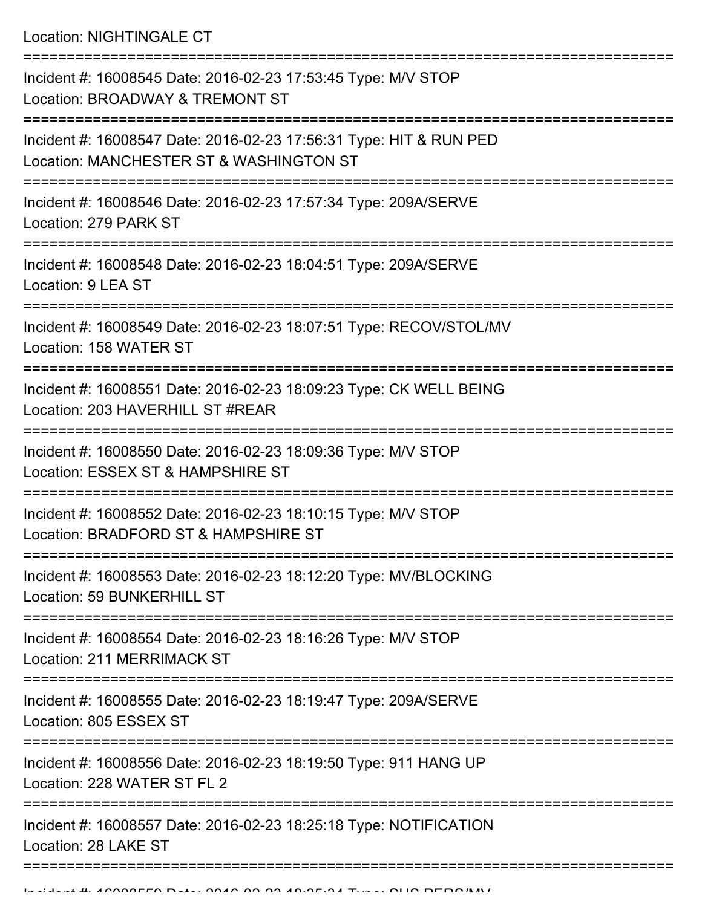Location: NIGHTINGALE CT

| Incident #: 16008545 Date: 2016-02-23 17:53:45 Type: M/V STOP<br>Location: BROADWAY & TREMONT ST              |
|---------------------------------------------------------------------------------------------------------------|
| Incident #: 16008547 Date: 2016-02-23 17:56:31 Type: HIT & RUN PED<br>Location: MANCHESTER ST & WASHINGTON ST |
| Incident #: 16008546 Date: 2016-02-23 17:57:34 Type: 209A/SERVE<br>Location: 279 PARK ST                      |
| Incident #: 16008548 Date: 2016-02-23 18:04:51 Type: 209A/SERVE<br>Location: 9 LEA ST                         |
| Incident #: 16008549 Date: 2016-02-23 18:07:51 Type: RECOV/STOL/MV<br>Location: 158 WATER ST                  |
| Incident #: 16008551 Date: 2016-02-23 18:09:23 Type: CK WELL BEING<br>Location: 203 HAVERHILL ST #REAR        |
| Incident #: 16008550 Date: 2016-02-23 18:09:36 Type: M/V STOP<br>Location: ESSEX ST & HAMPSHIRE ST            |
| Incident #: 16008552 Date: 2016-02-23 18:10:15 Type: M/V STOP<br>Location: BRADFORD ST & HAMPSHIRE ST         |
| Incident #: 16008553 Date: 2016-02-23 18:12:20 Type: MV/BLOCKING<br>Location: 59 BUNKERHILL ST                |
| Incident #: 16008554 Date: 2016-02-23 18:16:26 Type: M/V STOP<br><b>Location: 211 MERRIMACK ST</b>            |
| Incident #: 16008555 Date: 2016-02-23 18:19:47 Type: 209A/SERVE<br>Location: 805 ESSEX ST                     |
| Incident #: 16008556 Date: 2016-02-23 18:19:50 Type: 911 HANG UP<br>Location: 228 WATER ST FL 2               |
| Incident #: 16008557 Date: 2016-02-23 18:25:18 Type: NOTIFICATION<br>Location: 28 LAKE ST                     |
|                                                                                                               |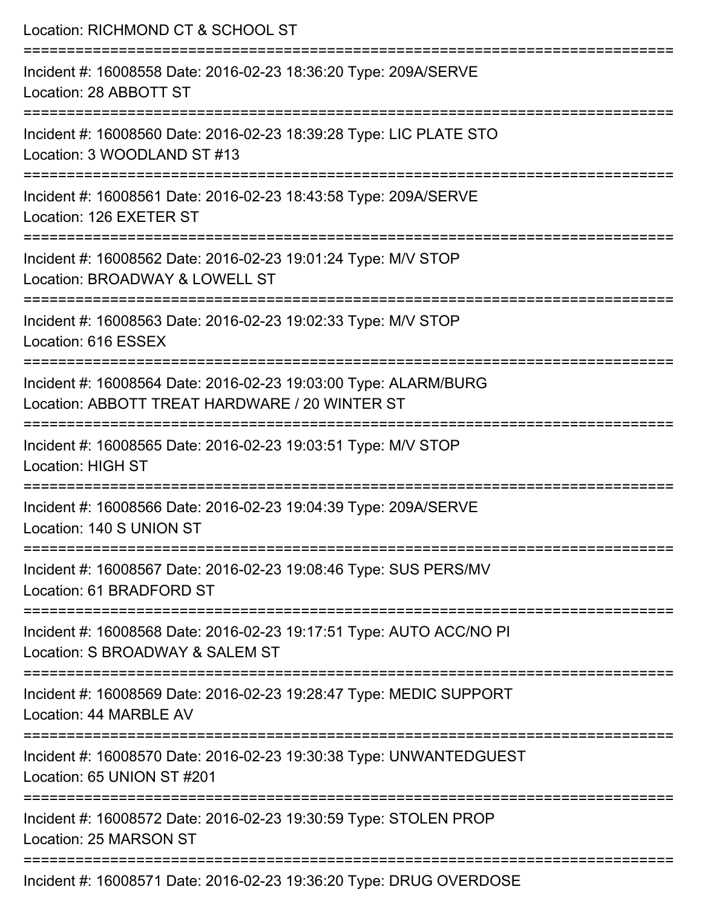| Location: RICHMOND CT & SCHOOL ST                                                                                         |
|---------------------------------------------------------------------------------------------------------------------------|
| Incident #: 16008558 Date: 2016-02-23 18:36:20 Type: 209A/SERVE<br>Location: 28 ABBOTT ST<br>=========================    |
| Incident #: 16008560 Date: 2016-02-23 18:39:28 Type: LIC PLATE STO<br>Location: 3 WOODLAND ST #13                         |
| Incident #: 16008561 Date: 2016-02-23 18:43:58 Type: 209A/SERVE<br>Location: 126 EXETER ST                                |
| ======================<br>Incident #: 16008562 Date: 2016-02-23 19:01:24 Type: M/V STOP<br>Location: BROADWAY & LOWELL ST |
| Incident #: 16008563 Date: 2016-02-23 19:02:33 Type: M/V STOP<br>Location: 616 ESSEX                                      |
| Incident #: 16008564 Date: 2016-02-23 19:03:00 Type: ALARM/BURG<br>Location: ABBOTT TREAT HARDWARE / 20 WINTER ST         |
| Incident #: 16008565 Date: 2016-02-23 19:03:51 Type: M/V STOP<br><b>Location: HIGH ST</b>                                 |
| Incident #: 16008566 Date: 2016-02-23 19:04:39 Type: 209A/SERVE<br>Location: 140 S UNION ST                               |
| Incident #: 16008567 Date: 2016-02-23 19:08:46 Type: SUS PERS/MV<br>Location: 61 BRADFORD ST                              |
| Incident #: 16008568 Date: 2016-02-23 19:17:51 Type: AUTO ACC/NO PI<br>Location: S BROADWAY & SALEM ST                    |
| Incident #: 16008569 Date: 2016-02-23 19:28:47 Type: MEDIC SUPPORT<br>Location: 44 MARBLE AV                              |
| Incident #: 16008570 Date: 2016-02-23 19:30:38 Type: UNWANTEDGUEST<br>Location: 65 UNION ST #201                          |
| Incident #: 16008572 Date: 2016-02-23 19:30:59 Type: STOLEN PROP<br>Location: 25 MARSON ST                                |
|                                                                                                                           |

Incident #: 16008571 Date: 2016-02-23 19:36:20 Type: DRUG OVERDOSE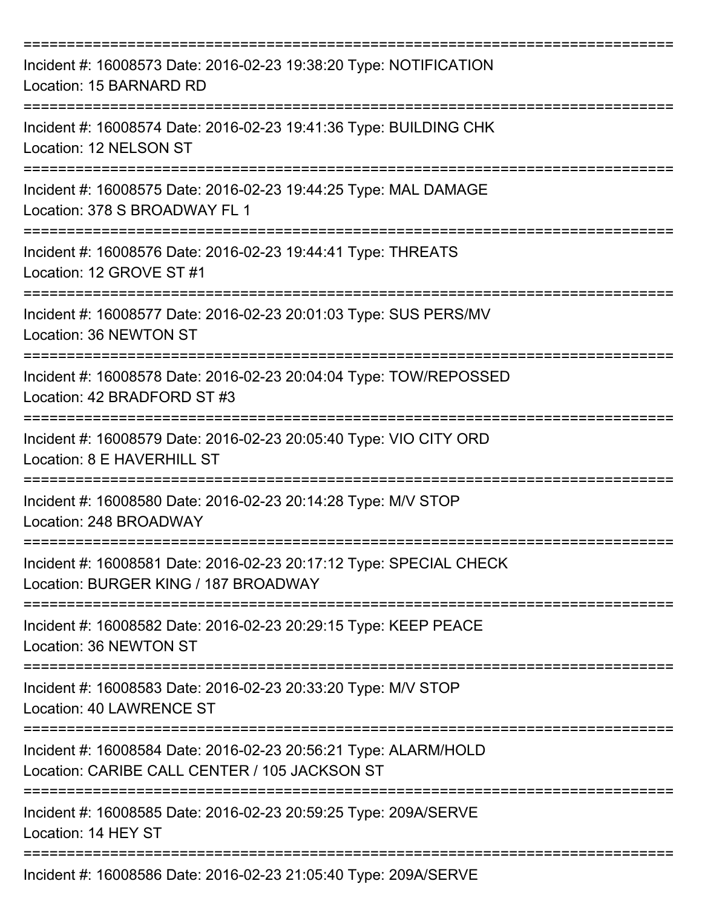| Incident #: 16008573 Date: 2016-02-23 19:38:20 Type: NOTIFICATION<br>Location: 15 BARNARD RD                     |
|------------------------------------------------------------------------------------------------------------------|
| Incident #: 16008574 Date: 2016-02-23 19:41:36 Type: BUILDING CHK<br>Location: 12 NELSON ST                      |
| Incident #: 16008575 Date: 2016-02-23 19:44:25 Type: MAL DAMAGE<br>Location: 378 S BROADWAY FL 1<br>._________   |
| Incident #: 16008576 Date: 2016-02-23 19:44:41 Type: THREATS<br>Location: 12 GROVE ST #1                         |
| Incident #: 16008577 Date: 2016-02-23 20:01:03 Type: SUS PERS/MV<br>Location: 36 NEWTON ST                       |
| Incident #: 16008578 Date: 2016-02-23 20:04:04 Type: TOW/REPOSSED<br>Location: 42 BRADFORD ST #3                 |
| Incident #: 16008579 Date: 2016-02-23 20:05:40 Type: VIO CITY ORD<br>Location: 8 E HAVERHILL ST                  |
| Incident #: 16008580 Date: 2016-02-23 20:14:28 Type: M/V STOP<br>Location: 248 BROADWAY                          |
| Incident #: 16008581 Date: 2016-02-23 20:17:12 Type: SPECIAL CHECK<br>Location: BURGER KING / 187 BROADWAY       |
| Incident #: 16008582 Date: 2016-02-23 20:29:15 Type: KEEP PEACE<br>Location: 36 NEWTON ST                        |
| Incident #: 16008583 Date: 2016-02-23 20:33:20 Type: M/V STOP<br>Location: 40 LAWRENCE ST                        |
| Incident #: 16008584 Date: 2016-02-23 20:56:21 Type: ALARM/HOLD<br>Location: CARIBE CALL CENTER / 105 JACKSON ST |
| Incident #: 16008585 Date: 2016-02-23 20:59:25 Type: 209A/SERVE<br>Location: 14 HEY ST                           |
| Incident #: 16008586 Date: 2016-02-23 21:05:40 Type: 209A/SERVE                                                  |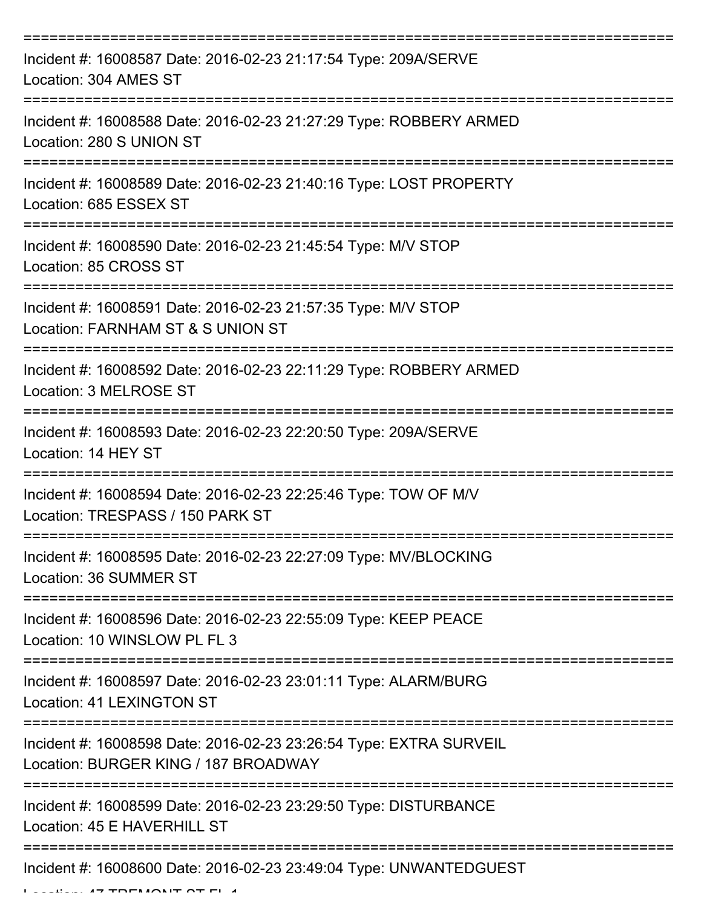| Incident #: 16008587 Date: 2016-02-23 21:17:54 Type: 209A/SERVE<br>Location: 304 AMES ST                               |
|------------------------------------------------------------------------------------------------------------------------|
| Incident #: 16008588 Date: 2016-02-23 21:27:29 Type: ROBBERY ARMED<br>Location: 280 S UNION ST                         |
| Incident #: 16008589 Date: 2016-02-23 21:40:16 Type: LOST PROPERTY<br>Location: 685 ESSEX ST                           |
| Incident #: 16008590 Date: 2016-02-23 21:45:54 Type: M/V STOP<br>Location: 85 CROSS ST                                 |
| Incident #: 16008591 Date: 2016-02-23 21:57:35 Type: M/V STOP<br>Location: FARNHAM ST & S UNION ST<br>:==============  |
| Incident #: 16008592 Date: 2016-02-23 22:11:29 Type: ROBBERY ARMED<br>Location: 3 MELROSE ST                           |
| Incident #: 16008593 Date: 2016-02-23 22:20:50 Type: 209A/SERVE<br>Location: 14 HEY ST                                 |
| Incident #: 16008594 Date: 2016-02-23 22:25:46 Type: TOW OF M/V<br>Location: TRESPASS / 150 PARK ST                    |
| Incident #: 16008595 Date: 2016-02-23 22:27:09 Type: MV/BLOCKING<br>Location: 36 SUMMER ST                             |
| ===================<br>Incident #: 16008596 Date: 2016-02-23 22:55:09 Type: KEEP PEACE<br>Location: 10 WINSLOW PL FL 3 |
| Incident #: 16008597 Date: 2016-02-23 23:01:11 Type: ALARM/BURG<br>Location: 41 LEXINGTON ST                           |
| Incident #: 16008598 Date: 2016-02-23 23:26:54 Type: EXTRA SURVEIL<br>Location: BURGER KING / 187 BROADWAY             |
| Incident #: 16008599 Date: 2016-02-23 23:29:50 Type: DISTURBANCE<br>Location: 45 E HAVERHILL ST                        |
| Incident #: 16008600 Date: 2016-02-23 23:49:04 Type: UNWANTEDGUEST                                                     |

 $L_{\text{max}}$  47 TREMONT ST FL 4